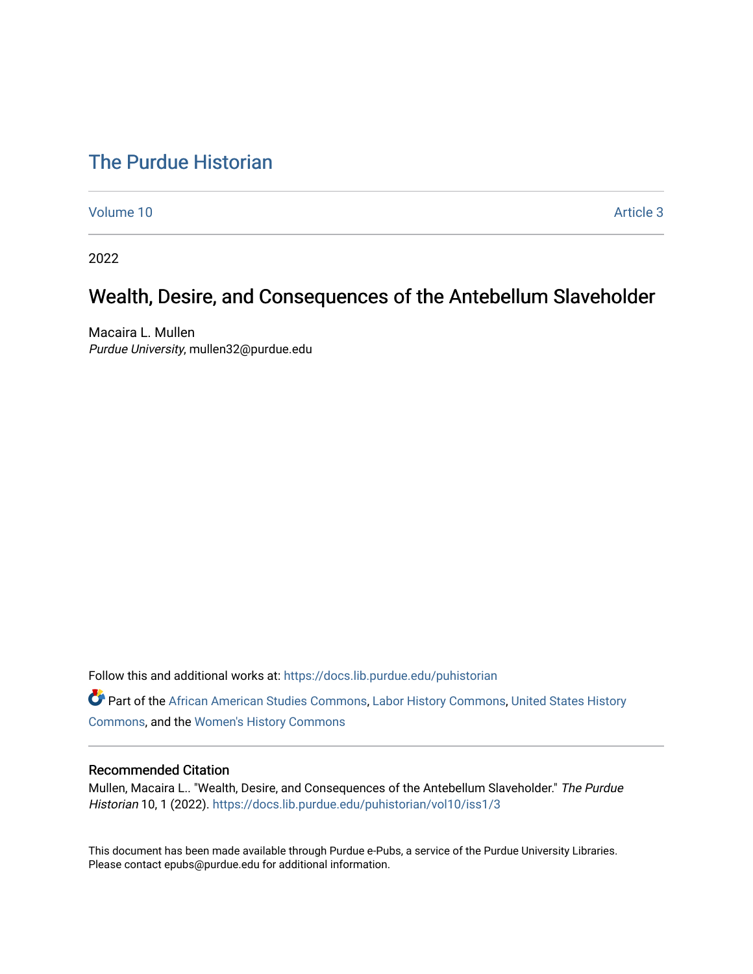# [The Purdue Historian](https://docs.lib.purdue.edu/puhistorian)

[Volume 10](https://docs.lib.purdue.edu/puhistorian/vol10) Article 3

2022

## Wealth, Desire, and Consequences of the Antebellum Slaveholder

Macaira L. Mullen Purdue University, mullen32@purdue.edu

Follow this and additional works at: [https://docs.lib.purdue.edu/puhistorian](https://docs.lib.purdue.edu/puhistorian?utm_source=docs.lib.purdue.edu%2Fpuhistorian%2Fvol10%2Fiss1%2F3&utm_medium=PDF&utm_campaign=PDFCoverPages) 

Part of the [African American Studies Commons,](http://network.bepress.com/hgg/discipline/567?utm_source=docs.lib.purdue.edu%2Fpuhistorian%2Fvol10%2Fiss1%2F3&utm_medium=PDF&utm_campaign=PDFCoverPages) [Labor History Commons](http://network.bepress.com/hgg/discipline/1254?utm_source=docs.lib.purdue.edu%2Fpuhistorian%2Fvol10%2Fiss1%2F3&utm_medium=PDF&utm_campaign=PDFCoverPages), [United States History](http://network.bepress.com/hgg/discipline/495?utm_source=docs.lib.purdue.edu%2Fpuhistorian%2Fvol10%2Fiss1%2F3&utm_medium=PDF&utm_campaign=PDFCoverPages)  [Commons](http://network.bepress.com/hgg/discipline/495?utm_source=docs.lib.purdue.edu%2Fpuhistorian%2Fvol10%2Fiss1%2F3&utm_medium=PDF&utm_campaign=PDFCoverPages), and the [Women's History Commons](http://network.bepress.com/hgg/discipline/507?utm_source=docs.lib.purdue.edu%2Fpuhistorian%2Fvol10%2Fiss1%2F3&utm_medium=PDF&utm_campaign=PDFCoverPages) 

#### Recommended Citation

Mullen, Macaira L.. "Wealth, Desire, and Consequences of the Antebellum Slaveholder." The Purdue Historian 10, 1 (2022). [https://docs.lib.purdue.edu/puhistorian/vol10/iss1/3](https://docs.lib.purdue.edu/puhistorian/vol10/iss1/3?utm_source=docs.lib.purdue.edu%2Fpuhistorian%2Fvol10%2Fiss1%2F3&utm_medium=PDF&utm_campaign=PDFCoverPages)

This document has been made available through Purdue e-Pubs, a service of the Purdue University Libraries. Please contact epubs@purdue.edu for additional information.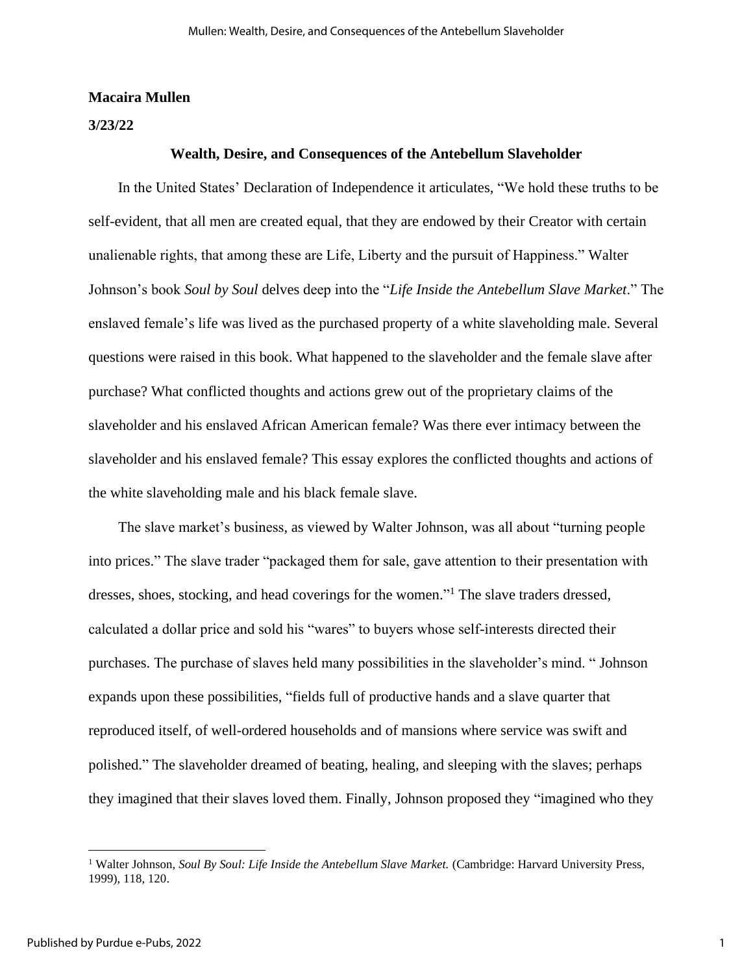#### **Macaira Mullen**

#### **3/23/22**

#### **Wealth, Desire, and Consequences of the Antebellum Slaveholder**

 In the United States' Declaration of Independence it articulates, "We hold these truths to be self-evident, that all men are created equal, that they are endowed by their Creator with certain unalienable rights, that among these are Life, Liberty and the pursuit of Happiness." Walter Johnson's book *Soul by Soul* delves deep into the "*Life Inside the Antebellum Slave Market*." The enslaved female's life was lived as the purchased property of a white slaveholding male. Several questions were raised in this book. What happened to the slaveholder and the female slave after purchase? What conflicted thoughts and actions grew out of the proprietary claims of the slaveholder and his enslaved African American female? Was there ever intimacy between the slaveholder and his enslaved female? This essay explores the conflicted thoughts and actions of the white slaveholding male and his black female slave.

 The slave market's business, as viewed by Walter Johnson, was all about "turning people into prices." The slave trader "packaged them for sale, gave attention to their presentation with dresses, shoes, stocking, and head coverings for the women."<sup>1</sup> The slave traders dressed, calculated a dollar price and sold his "wares" to buyers whose self-interests directed their purchases. The purchase of slaves held many possibilities in the slaveholder's mind. " Johnson expands upon these possibilities, "fields full of productive hands and a slave quarter that reproduced itself, of well-ordered households and of mansions where service was swift and polished." The slaveholder dreamed of beating, healing, and sleeping with the slaves; perhaps they imagined that their slaves loved them. Finally, Johnson proposed they "imagined who they

<sup>&</sup>lt;sup>1</sup> Walter Johnson, *Soul By Soul: Life Inside the Antebellum Slave Market.* (Cambridge: Harvard University Press, 1999), 118, 120.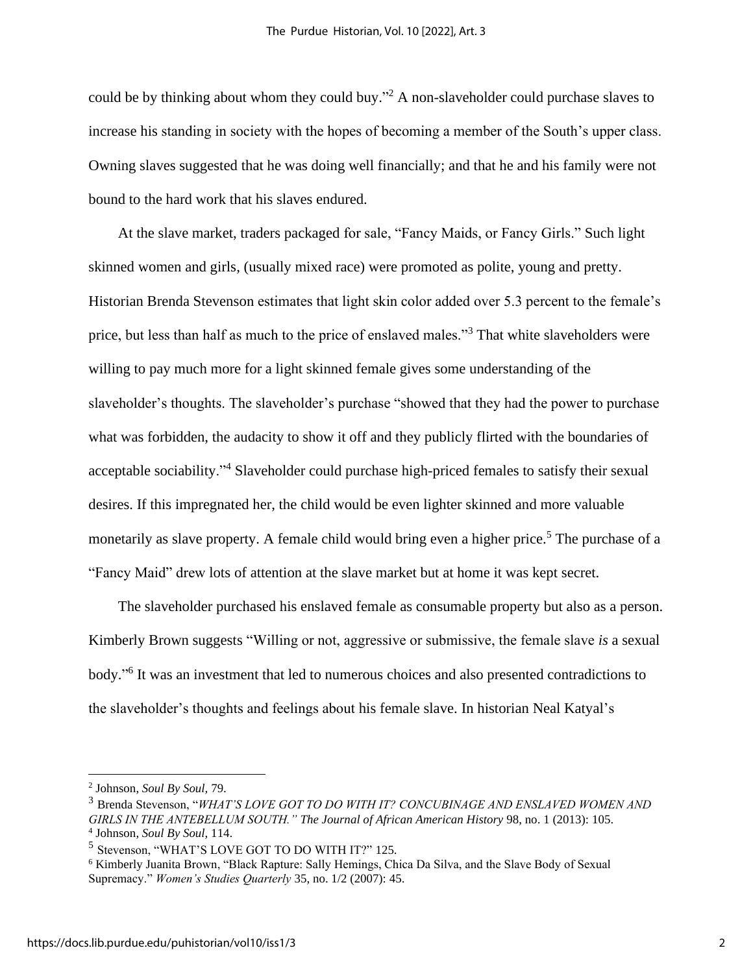could be by thinking about whom they could buy."<sup>2</sup> A non-slaveholder could purchase slaves to increase his standing in society with the hopes of becoming a member of the South's upper class. Owning slaves suggested that he was doing well financially; and that he and his family were not bound to the hard work that his slaves endured.

 At the slave market, traders packaged for sale, "Fancy Maids, or Fancy Girls." Such light skinned women and girls, (usually mixed race) were promoted as polite, young and pretty. Historian Brenda Stevenson estimates that light skin color added over 5.3 percent to the female's price, but less than half as much to the price of enslaved males."<sup>3</sup> That white slaveholders were willing to pay much more for a light skinned female gives some understanding of the slaveholder's thoughts. The slaveholder's purchase "showed that they had the power to purchase what was forbidden, the audacity to show it off and they publicly flirted with the boundaries of acceptable sociability."<sup>4</sup> Slaveholder could purchase high-priced females to satisfy their sexual desires. If this impregnated her, the child would be even lighter skinned and more valuable monetarily as slave property. A female child would bring even a higher price.<sup>5</sup> The purchase of a "Fancy Maid" drew lots of attention at the slave market but at home it was kept secret.

 The slaveholder purchased his enslaved female as consumable property but also as a person. Kimberly Brown suggests "Willing or not, aggressive or submissive, the female slave *is* a sexual body." 6 It was an investment that led to numerous choices and also presented contradictions to the slaveholder's thoughts and feelings about his female slave. In historian Neal Katyal's

<sup>2</sup> Johnson, *Soul By Soul,* 79.

<sup>3</sup> Brenda Stevenson, "*WHAT'S LOVE GOT TO DO WITH IT? CONCUBINAGE AND ENSLAVED WOMEN AND GIRLS IN THE ANTEBELLUM SOUTH." The Journal of African American History* 98, no. 1 (2013): 105. 4 Johnson, *Soul By Soul*, 114.

<sup>5</sup> Stevenson, "WHAT'S LOVE GOT TO DO WITH IT?" 125.

<sup>6</sup> Kimberly Juanita Brown, "Black Rapture: Sally Hemings, Chica Da Silva, and the Slave Body of Sexual Supremacy." *Women's Studies Quarterly* 35, no. 1/2 (2007): 45.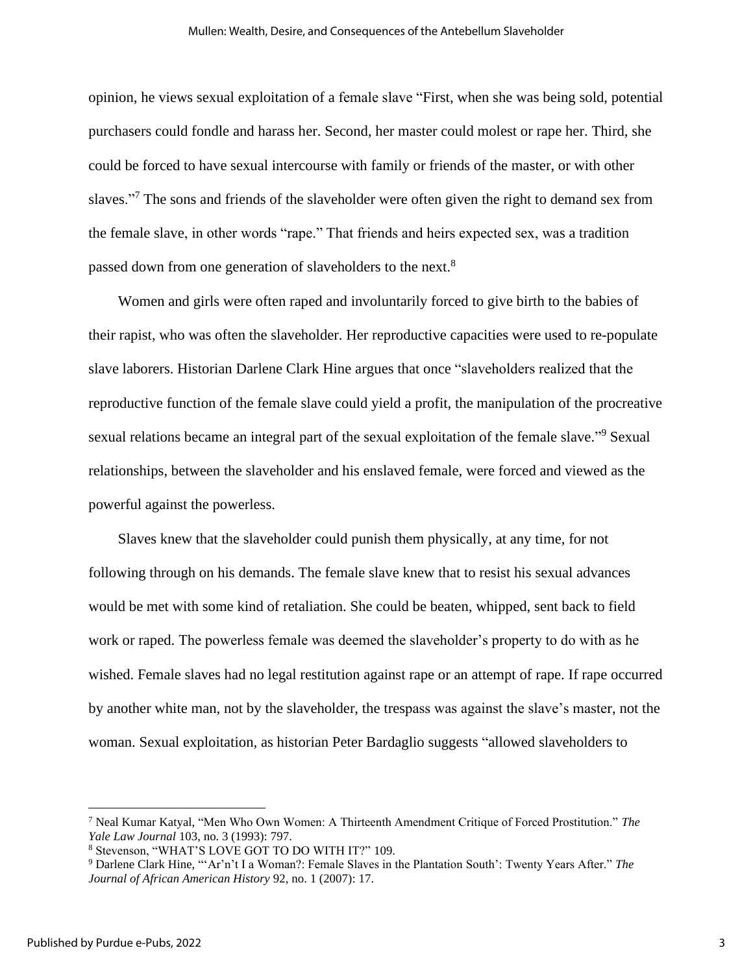opinion, he views sexual exploitation of a female slave "First, when she was being sold, potential purchasers could fondle and harass her. Second, her master could molest or rape her. Third, she could be forced to have sexual intercourse with family or friends of the master, or with other slaves."<sup>7</sup> The sons and friends of the slaveholder were often given the right to demand sex from the female slave, in other words "rape." That friends and heirs expected sex, was a tradition passed down from one generation of slaveholders to the next.<sup>8</sup>

 Women and girls were often raped and involuntarily forced to give birth to the babies of their rapist, who was often the slaveholder. Her reproductive capacities were used to re-populate slave laborers. Historian Darlene Clark Hine argues that once "slaveholders realized that the reproductive function of the female slave could yield a profit, the manipulation of the procreative sexual relations became an integral part of the sexual exploitation of the female slave."<sup>9</sup> Sexual relationships, between the slaveholder and his enslaved female, were forced and viewed as the powerful against the powerless.

 Slaves knew that the slaveholder could punish them physically, at any time, for not following through on his demands. The female slave knew that to resist his sexual advances would be met with some kind of retaliation. She could be beaten, whipped, sent back to field work or raped. The powerless female was deemed the slaveholder's property to do with as he wished. Female slaves had no legal restitution against rape or an attempt of rape. If rape occurred by another white man, not by the slaveholder, the trespass was against the slave's master, not the woman. Sexual exploitation, as historian Peter Bardaglio suggests "allowed slaveholders to

<sup>7</sup> Neal Kumar Katyal, "Men Who Own Women: A Thirteenth Amendment Critique of Forced Prostitution." *The Yale Law Journal* 103, no. 3 (1993): 797.

<sup>8</sup> Stevenson, "WHAT'S LOVE GOT TO DO WITH IT?" 109.

<sup>9</sup> Darlene Clark Hine, "'Ar'n't I a Woman?: Female Slaves in the Plantation South': Twenty Years After." *The Journal of African American History* 92, no. 1 (2007): 17.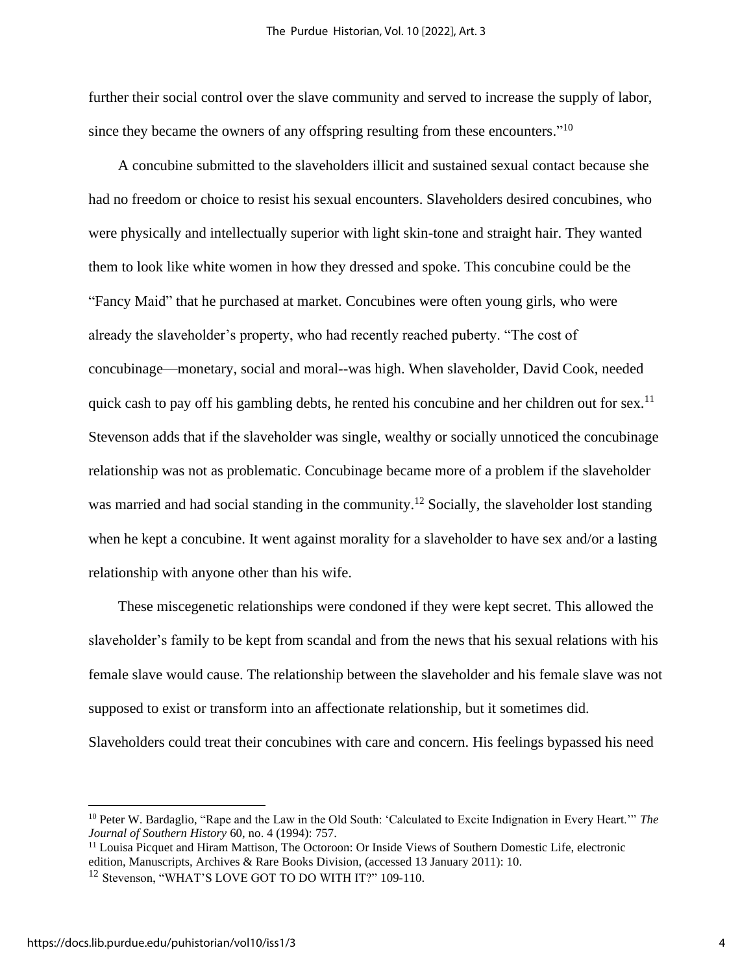further their social control over the slave community and served to increase the supply of labor, since they became the owners of any offspring resulting from these encounters."<sup>10</sup>

 A concubine submitted to the slaveholders illicit and sustained sexual contact because she had no freedom or choice to resist his sexual encounters. Slaveholders desired concubines, who were physically and intellectually superior with light skin-tone and straight hair. They wanted them to look like white women in how they dressed and spoke. This concubine could be the "Fancy Maid" that he purchased at market. Concubines were often young girls, who were already the slaveholder's property, who had recently reached puberty. "The cost of concubinage—monetary, social and moral--was high. When slaveholder, David Cook, needed quick cash to pay off his gambling debts, he rented his concubine and her children out for sex.<sup>11</sup> Stevenson adds that if the slaveholder was single, wealthy or socially unnoticed the concubinage relationship was not as problematic. Concubinage became more of a problem if the slaveholder was married and had social standing in the community.<sup>12</sup> Socially, the slaveholder lost standing when he kept a concubine. It went against morality for a slaveholder to have sex and/or a lasting relationship with anyone other than his wife.

 These miscegenetic relationships were condoned if they were kept secret. This allowed the slaveholder's family to be kept from scandal and from the news that his sexual relations with his female slave would cause. The relationship between the slaveholder and his female slave was not supposed to exist or transform into an affectionate relationship, but it sometimes did. Slaveholders could treat their concubines with care and concern. His feelings bypassed his need

<sup>10</sup> Peter W. Bardaglio, "Rape and the Law in the Old South: 'Calculated to Excite Indignation in Every Heart.'" *The Journal of Southern History* 60, no. 4 (1994): 757.

<sup>11</sup> Louisa Picquet and Hiram Mattison, The Octoroon: Or Inside Views of Southern Domestic Life, electronic edition, Manuscripts, Archives & Rare Books Division, (accessed 13 January 2011): 10.

<sup>12</sup> Stevenson, "WHAT'S LOVE GOT TO DO WITH IT?" 109-110.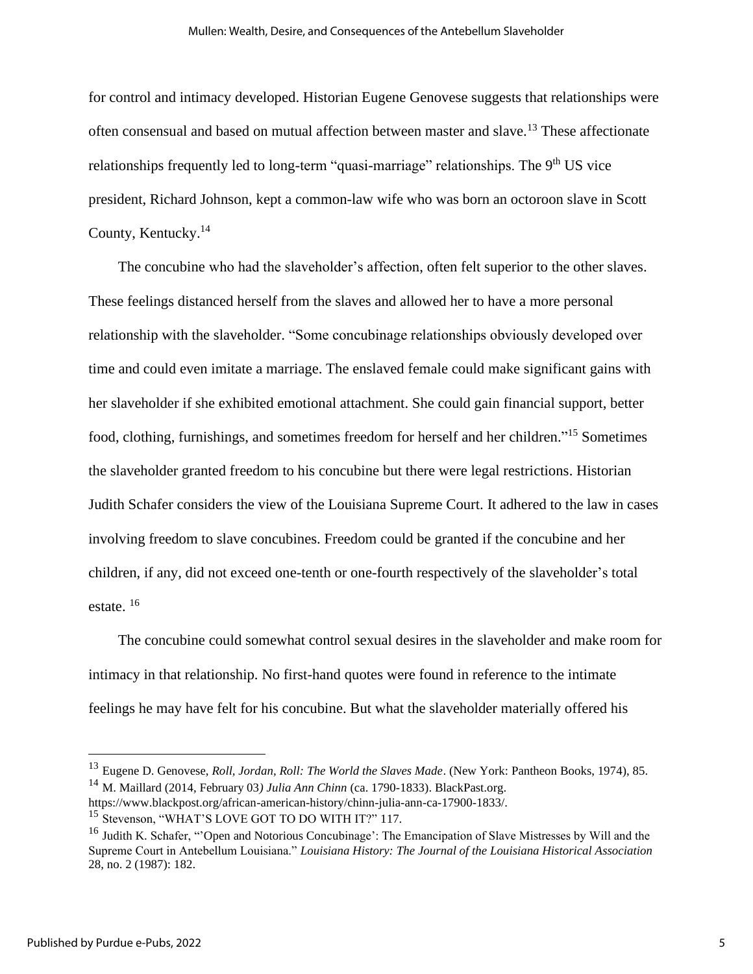for control and intimacy developed. Historian Eugene Genovese suggests that relationships were often consensual and based on mutual affection between master and slave.<sup>13</sup> These affectionate relationships frequently led to long-term "quasi-marriage" relationships. The  $9<sup>th</sup> US$  vice president, Richard Johnson, kept a common-law wife who was born an octoroon slave in Scott County, Kentucky.<sup>14</sup>

 The concubine who had the slaveholder's affection, often felt superior to the other slaves. These feelings distanced herself from the slaves and allowed her to have a more personal relationship with the slaveholder. "Some concubinage relationships obviously developed over time and could even imitate a marriage. The enslaved female could make significant gains with her slaveholder if she exhibited emotional attachment. She could gain financial support, better food, clothing, furnishings, and sometimes freedom for herself and her children."<sup>15</sup> Sometimes the slaveholder granted freedom to his concubine but there were legal restrictions. Historian Judith Schafer considers the view of the Louisiana Supreme Court. It adhered to the law in cases involving freedom to slave concubines. Freedom could be granted if the concubine and her children, if any, did not exceed one-tenth or one-fourth respectively of the slaveholder's total estate. <sup>16</sup>

 The concubine could somewhat control sexual desires in the slaveholder and make room for intimacy in that relationship. No first-hand quotes were found in reference to the intimate feelings he may have felt for his concubine. But what the slaveholder materially offered his

<sup>13</sup> Eugene D. Genovese, *Roll, Jordan, Roll: The World the Slaves Made*. (New York: Pantheon Books, 1974), 85. <sup>14</sup> M. Maillard (2014, February 03*) Julia Ann Chinn* (ca. 1790-1833). BlackPast.org.

https://www.blackpost.org/african-american-history/chinn-julia-ann-ca-17900-1833/. <sup>15</sup> Stevenson, "WHAT'S LOVE GOT TO DO WITH IT?" 117.

<sup>&</sup>lt;sup>16</sup> Judith K. Schafer, "Open and Notorious Concubinage': The Emancipation of Slave Mistresses by Will and the Supreme Court in Antebellum Louisiana." *Louisiana History: The Journal of the Louisiana Historical Association* 28, no. 2 (1987): 182.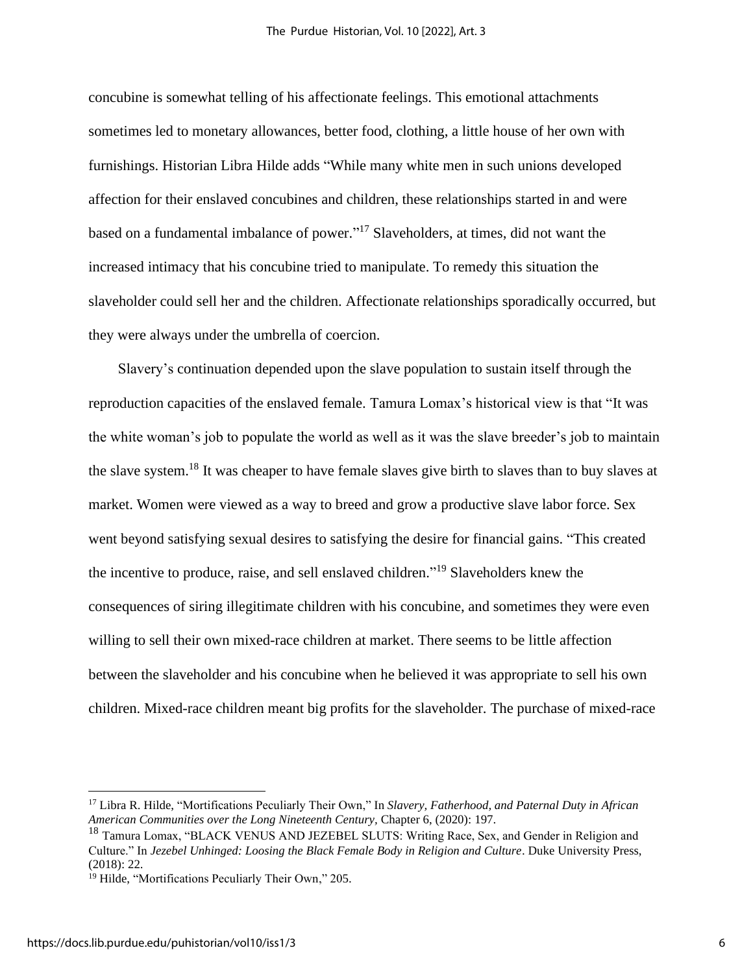concubine is somewhat telling of his affectionate feelings. This emotional attachments sometimes led to monetary allowances, better food, clothing, a little house of her own with furnishings. Historian Libra Hilde adds "While many white men in such unions developed affection for their enslaved concubines and children, these relationships started in and were based on a fundamental imbalance of power." <sup>17</sup> Slaveholders, at times, did not want the increased intimacy that his concubine tried to manipulate. To remedy this situation the slaveholder could sell her and the children. Affectionate relationships sporadically occurred, but they were always under the umbrella of coercion.

 Slavery's continuation depended upon the slave population to sustain itself through the reproduction capacities of the enslaved female. Tamura Lomax's historical view is that "It was the white woman's job to populate the world as well as it was the slave breeder's job to maintain the slave system.<sup>18</sup> It was cheaper to have female slaves give birth to slaves than to buy slaves at market. Women were viewed as a way to breed and grow a productive slave labor force. Sex went beyond satisfying sexual desires to satisfying the desire for financial gains. "This created the incentive to produce, raise, and sell enslaved children." <sup>19</sup> Slaveholders knew the consequences of siring illegitimate children with his concubine, and sometimes they were even willing to sell their own mixed-race children at market. There seems to be little affection between the slaveholder and his concubine when he believed it was appropriate to sell his own children. Mixed-race children meant big profits for the slaveholder. The purchase of mixed-race

<sup>17</sup> Libra R. Hilde, "Mortifications Peculiarly Their Own," In *Slavery, Fatherhood, and Paternal Duty in African American Communities over the Long Nineteenth Century,* Chapter 6, (2020): 197.

<sup>&</sup>lt;sup>18</sup> Tamura Lomax, "BLACK VENUS AND JEZEBEL SLUTS: Writing Race, Sex, and Gender in Religion and Culture." In *Jezebel Unhinged: Loosing the Black Female Body in Religion and Culture*. Duke University Press, (2018): 22.

<sup>&</sup>lt;sup>19</sup> Hilde, "Mortifications Peculiarly Their Own," 205.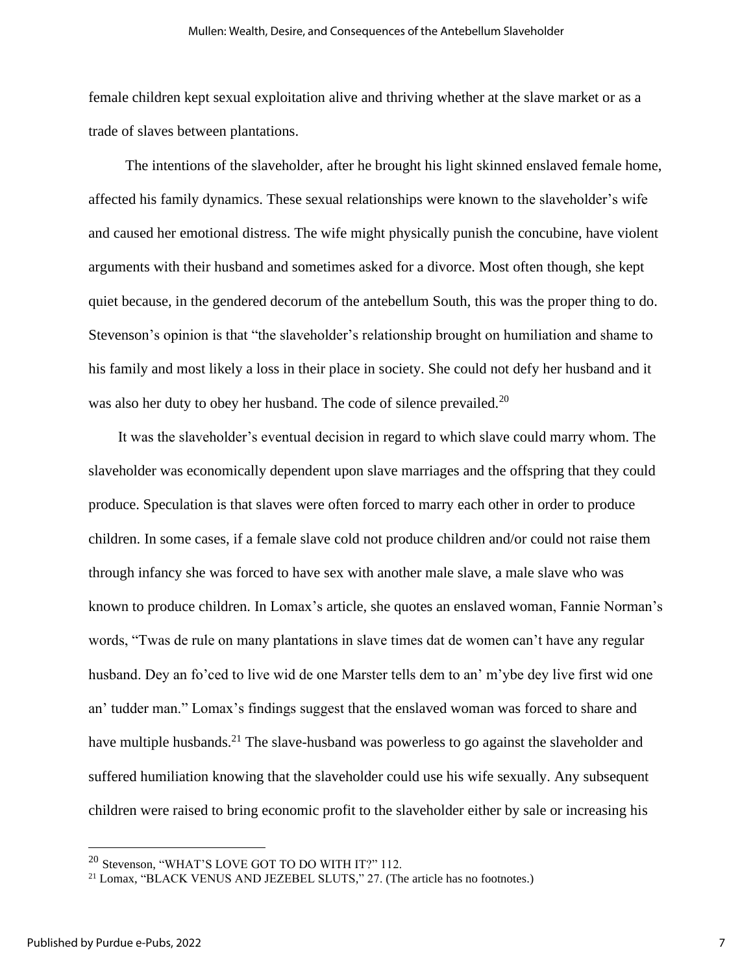female children kept sexual exploitation alive and thriving whether at the slave market or as a trade of slaves between plantations.

 The intentions of the slaveholder, after he brought his light skinned enslaved female home, affected his family dynamics. These sexual relationships were known to the slaveholder's wife and caused her emotional distress. The wife might physically punish the concubine, have violent arguments with their husband and sometimes asked for a divorce. Most often though, she kept quiet because, in the gendered decorum of the antebellum South, this was the proper thing to do. Stevenson's opinion is that "the slaveholder's relationship brought on humiliation and shame to his family and most likely a loss in their place in society. She could not defy her husband and it was also her duty to obey her husband. The code of silence prevailed.<sup>20</sup>

 It was the slaveholder's eventual decision in regard to which slave could marry whom. The slaveholder was economically dependent upon slave marriages and the offspring that they could produce. Speculation is that slaves were often forced to marry each other in order to produce children. In some cases, if a female slave cold not produce children and/or could not raise them through infancy she was forced to have sex with another male slave, a male slave who was known to produce children. In Lomax's article, she quotes an enslaved woman, Fannie Norman's words, "Twas de rule on many plantations in slave times dat de women can't have any regular husband. Dey an fo'ced to live wid de one Marster tells dem to an' m'ybe dey live first wid one an' tudder man." Lomax's findings suggest that the enslaved woman was forced to share and have multiple husbands.<sup>21</sup> The slave-husband was powerless to go against the slaveholder and suffered humiliation knowing that the slaveholder could use his wife sexually. Any subsequent children were raised to bring economic profit to the slaveholder either by sale or increasing his

<sup>&</sup>lt;sup>20</sup> Stevenson, "WHAT'S LOVE GOT TO DO WITH IT?" 112.

<sup>&</sup>lt;sup>21</sup> Lomax, "BLACK VENUS AND JEZEBEL SLUTS," 27. (The article has no footnotes.)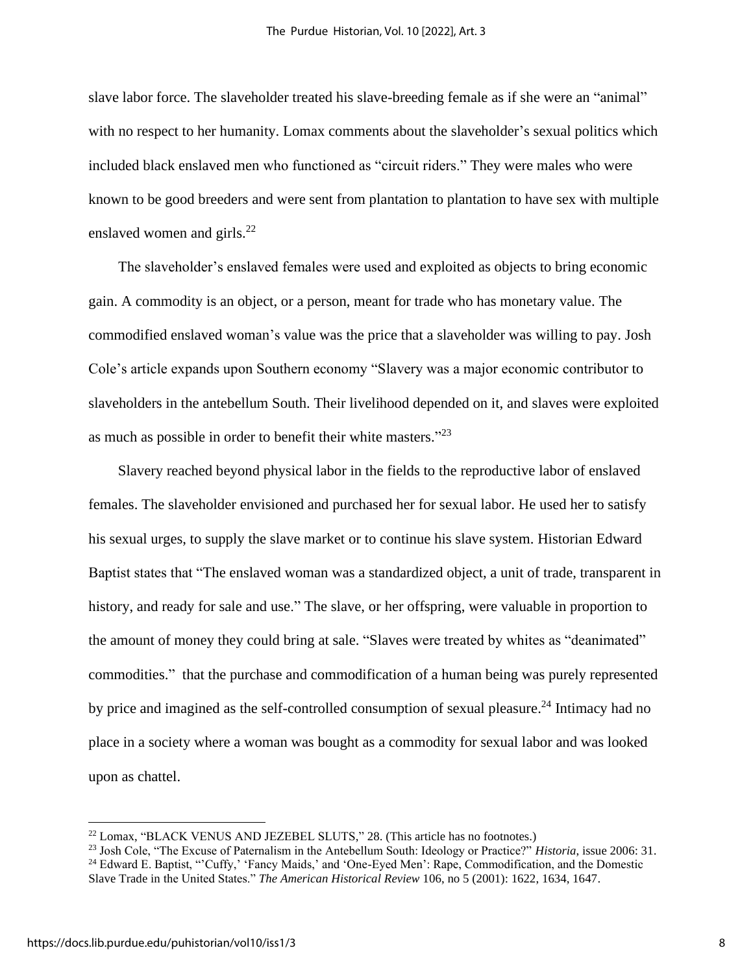slave labor force. The slaveholder treated his slave-breeding female as if she were an "animal" with no respect to her humanity. Lomax comments about the slaveholder's sexual politics which included black enslaved men who functioned as "circuit riders." They were males who were known to be good breeders and were sent from plantation to plantation to have sex with multiple enslaved women and girls.<sup>22</sup>

 The slaveholder's enslaved females were used and exploited as objects to bring economic gain. A commodity is an object, or a person, meant for trade who has monetary value. The commodified enslaved woman's value was the price that a slaveholder was willing to pay. Josh Cole's article expands upon Southern economy "Slavery was a major economic contributor to slaveholders in the antebellum South. Their livelihood depended on it, and slaves were exploited as much as possible in order to benefit their white masters."<sup>23</sup>

 Slavery reached beyond physical labor in the fields to the reproductive labor of enslaved females. The slaveholder envisioned and purchased her for sexual labor. He used her to satisfy his sexual urges, to supply the slave market or to continue his slave system. Historian Edward Baptist states that "The enslaved woman was a standardized object, a unit of trade, transparent in history, and ready for sale and use." The slave, or her offspring, were valuable in proportion to the amount of money they could bring at sale. "Slaves were treated by whites as "deanimated" commodities." that the purchase and commodification of a human being was purely represented by price and imagined as the self-controlled consumption of sexual pleasure.<sup>24</sup> Intimacy had no place in a society where a woman was bought as a commodity for sexual labor and was looked upon as chattel.

<sup>&</sup>lt;sup>22</sup> Lomax, "BLACK VENUS AND JEZEBEL SLUTS," 28. (This article has no footnotes.)

<sup>23</sup> Josh Cole, "The Excuse of Paternalism in the Antebellum South: Ideology or Practice?" *Historia*, issue 2006: 31. <sup>24</sup> Edward E. Baptist, "'Cuffy,' 'Fancy Maids,' and 'One-Eyed Men': Rape, Commodification, and the Domestic

Slave Trade in the United States." *The American Historical Review* 106, no 5 (2001): 1622, 1634, 1647.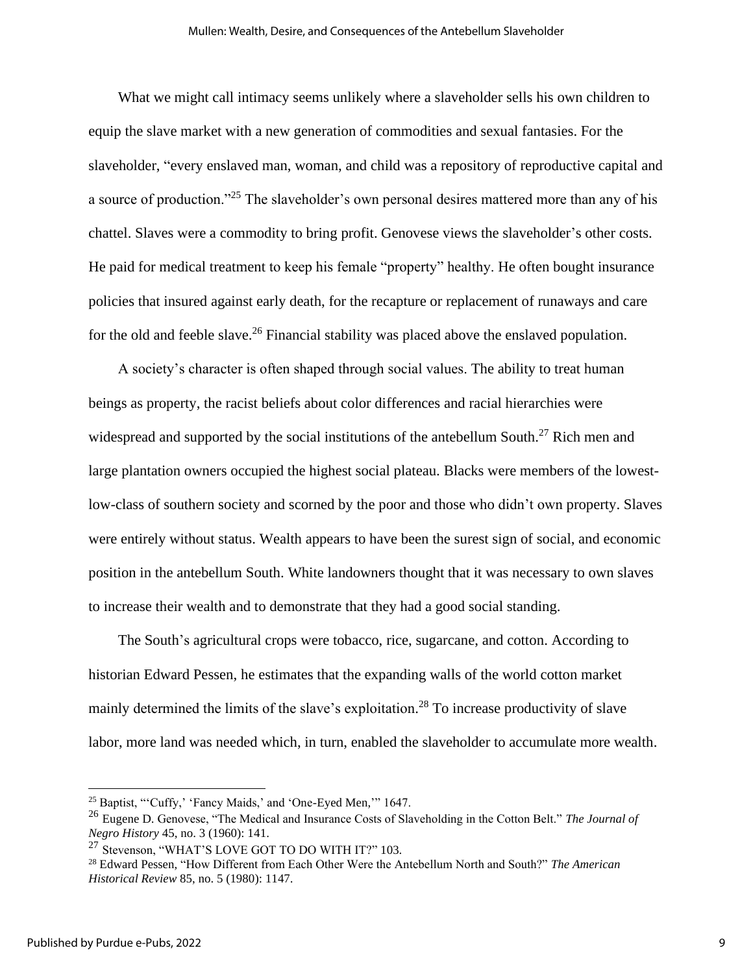What we might call intimacy seems unlikely where a slaveholder sells his own children to equip the slave market with a new generation of commodities and sexual fantasies. For the slaveholder, "every enslaved man, woman, and child was a repository of reproductive capital and a source of production."<sup>25</sup> The slaveholder's own personal desires mattered more than any of his chattel. Slaves were a commodity to bring profit. Genovese views the slaveholder's other costs. He paid for medical treatment to keep his female "property" healthy. He often bought insurance policies that insured against early death, for the recapture or replacement of runaways and care for the old and feeble slave.<sup>26</sup> Financial stability was placed above the enslaved population.

 A society's character is often shaped through social values. The ability to treat human beings as property, the racist beliefs about color differences and racial hierarchies were widespread and supported by the social institutions of the antebellum South.<sup>27</sup> Rich men and large plantation owners occupied the highest social plateau. Blacks were members of the lowestlow-class of southern society and scorned by the poor and those who didn't own property. Slaves were entirely without status. Wealth appears to have been the surest sign of social, and economic position in the antebellum South. White landowners thought that it was necessary to own slaves to increase their wealth and to demonstrate that they had a good social standing.

 The South's agricultural crops were tobacco, rice, sugarcane, and cotton. According to historian Edward Pessen, he estimates that the expanding walls of the world cotton market mainly determined the limits of the slave's exploitation.<sup>28</sup> To increase productivity of slave labor, more land was needed which, in turn, enabled the slaveholder to accumulate more wealth.

<sup>&</sup>lt;sup>25</sup> Baptist, "'Cuffy,' 'Fancy Maids,' and 'One-Eyed Men,"' 1647.

<sup>26</sup> Eugene D. Genovese, "The Medical and Insurance Costs of Slaveholding in the Cotton Belt." *The Journal of Negro History* 45, no. 3 (1960): 141.

<sup>&</sup>lt;sup>27</sup> Stevenson, "WHAT'S LOVE GOT TO DO WITH IT?" 103.

<sup>28</sup> Edward Pessen, "How Different from Each Other Were the Antebellum North and South?" *The American Historical Review* 85, no. 5 (1980): 1147.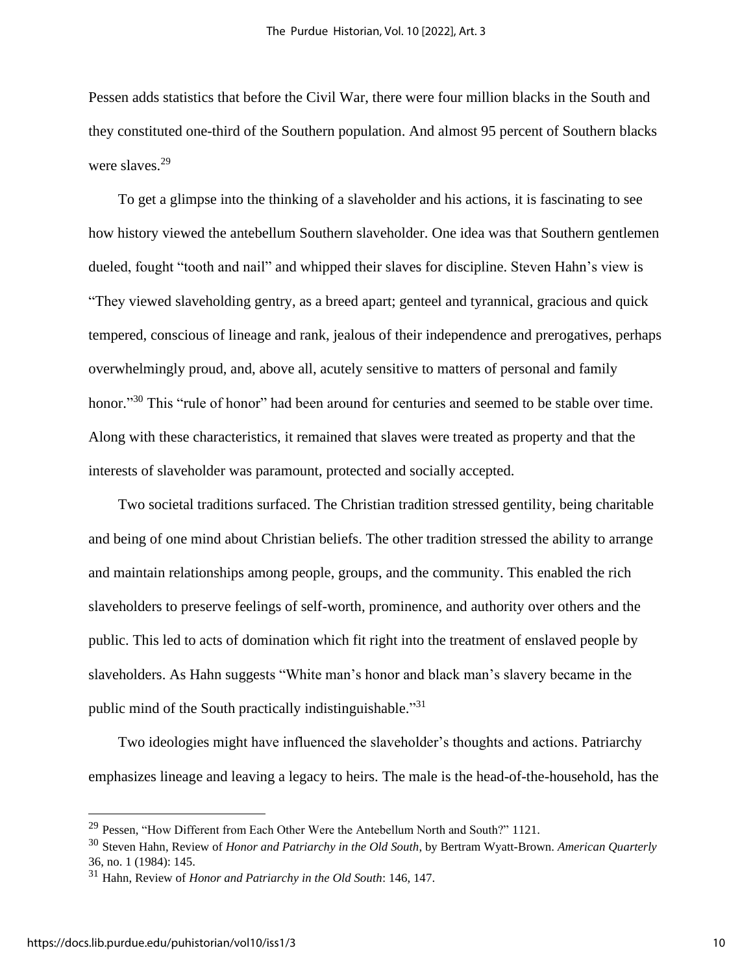Pessen adds statistics that before the Civil War, there were four million blacks in the South and they constituted one-third of the Southern population. And almost 95 percent of Southern blacks were slaves.<sup>29</sup>

 To get a glimpse into the thinking of a slaveholder and his actions, it is fascinating to see how history viewed the antebellum Southern slaveholder. One idea was that Southern gentlemen dueled, fought "tooth and nail" and whipped their slaves for discipline. Steven Hahn's view is "They viewed slaveholding gentry, as a breed apart; genteel and tyrannical, gracious and quick tempered, conscious of lineage and rank, jealous of their independence and prerogatives, perhaps overwhelmingly proud, and, above all, acutely sensitive to matters of personal and family honor."<sup>30</sup> This "rule of honor" had been around for centuries and seemed to be stable over time. Along with these characteristics, it remained that slaves were treated as property and that the interests of slaveholder was paramount, protected and socially accepted.

 Two societal traditions surfaced. The Christian tradition stressed gentility, being charitable and being of one mind about Christian beliefs. The other tradition stressed the ability to arrange and maintain relationships among people, groups, and the community. This enabled the rich slaveholders to preserve feelings of self-worth, prominence, and authority over others and the public. This led to acts of domination which fit right into the treatment of enslaved people by slaveholders. As Hahn suggests "White man's honor and black man's slavery became in the public mind of the South practically indistinguishable."<sup>31</sup>

 Two ideologies might have influenced the slaveholder's thoughts and actions. Patriarchy emphasizes lineage and leaving a legacy to heirs. The male is the head-of-the-household, has the

<sup>&</sup>lt;sup>29</sup> Pessen, "How Different from Each Other Were the Antebellum North and South?" 1121.

<sup>30</sup> Steven Hahn, Review of *Honor and Patriarchy in the Old South*, by Bertram Wyatt-Brown. *American Quarterly* 36, no. 1 (1984): 145.

<sup>31</sup> Hahn, Review of *Honor and Patriarchy in the Old South*: 146, 147.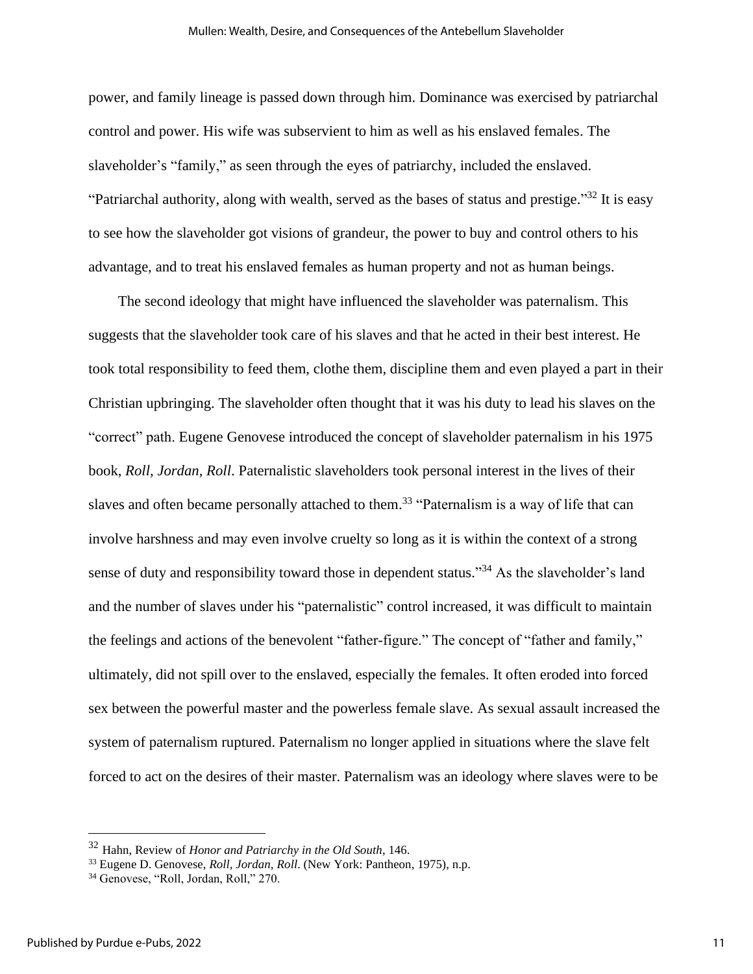power, and family lineage is passed down through him. Dominance was exercised by patriarchal control and power. His wife was subservient to him as well as his enslaved females. The slaveholder's "family," as seen through the eyes of patriarchy, included the enslaved. "Patriarchal authority, along with wealth, served as the bases of status and prestige."<sup>32</sup> It is easy to see how the slaveholder got visions of grandeur, the power to buy and control others to his advantage, and to treat his enslaved females as human property and not as human beings.

 The second ideology that might have influenced the slaveholder was paternalism. This suggests that the slaveholder took care of his slaves and that he acted in their best interest. He took total responsibility to feed them, clothe them, discipline them and even played a part in their Christian upbringing. The slaveholder often thought that it was his duty to lead his slaves on the "correct" path. Eugene Genovese introduced the concept of slaveholder paternalism in his 1975 book, *Roll, Jordan, Roll*. Paternalistic slaveholders took personal interest in the lives of their slaves and often became personally attached to them.<sup>33</sup> "Paternalism is a way of life that can involve harshness and may even involve cruelty so long as it is within the context of a strong sense of duty and responsibility toward those in dependent status."<sup>34</sup> As the slaveholder's land and the number of slaves under his "paternalistic" control increased, it was difficult to maintain the feelings and actions of the benevolent "father-figure." The concept of "father and family," ultimately, did not spill over to the enslaved, especially the females. It often eroded into forced sex between the powerful master and the powerless female slave. As sexual assault increased the system of paternalism ruptured. Paternalism no longer applied in situations where the slave felt forced to act on the desires of their master. Paternalism was an ideology where slaves were to be

<sup>32</sup> Hahn, Review of *Honor and Patriarchy in the Old South*, 146.

<sup>33</sup> Eugene D. Genovese, *Roll, Jordan, Roll*. (New York: Pantheon, 1975), n.p.

<sup>&</sup>lt;sup>34</sup> Genovese, "Roll, Jordan, Roll," 270.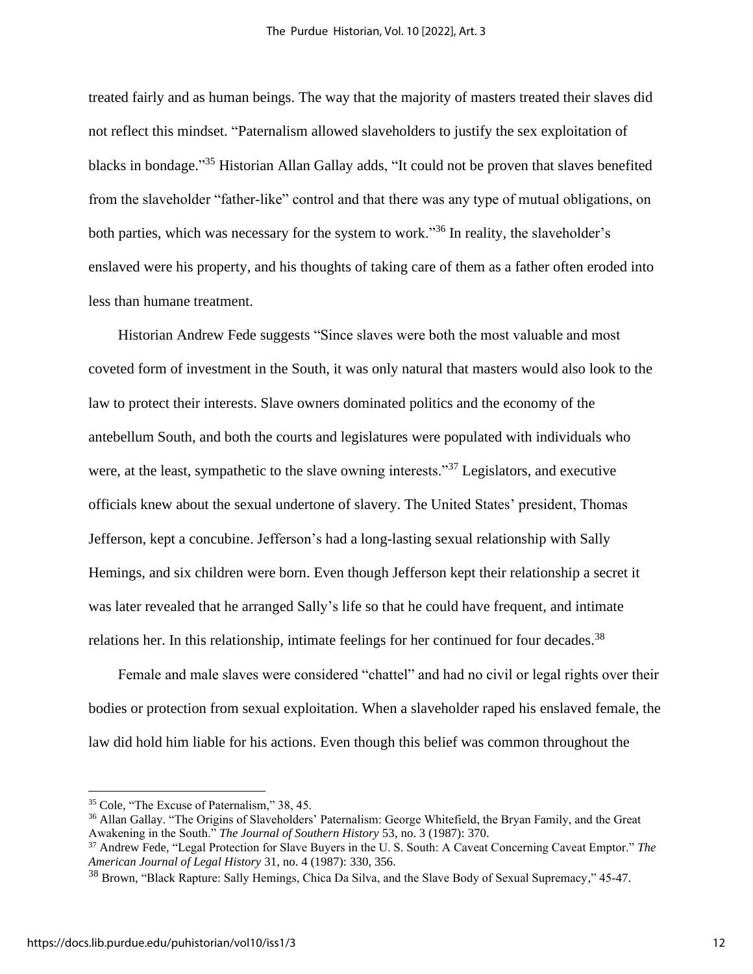treated fairly and as human beings. The way that the majority of masters treated their slaves did not reflect this mindset. "Paternalism allowed slaveholders to justify the sex exploitation of blacks in bondage."<sup>35</sup> Historian Allan Gallay adds, "It could not be proven that slaves benefited from the slaveholder "father-like" control and that there was any type of mutual obligations, on both parties, which was necessary for the system to work."<sup>36</sup> In reality, the slaveholder's enslaved were his property, and his thoughts of taking care of them as a father often eroded into less than humane treatment.

 Historian Andrew Fede suggests "Since slaves were both the most valuable and most coveted form of investment in the South, it was only natural that masters would also look to the law to protect their interests. Slave owners dominated politics and the economy of the antebellum South, and both the courts and legislatures were populated with individuals who were, at the least, sympathetic to the slave owning interests."<sup>37</sup> Legislators, and executive officials knew about the sexual undertone of slavery. The United States' president, Thomas Jefferson, kept a concubine. Jefferson's had a long-lasting sexual relationship with Sally Hemings, and six children were born. Even though Jefferson kept their relationship a secret it was later revealed that he arranged Sally's life so that he could have frequent, and intimate relations her. In this relationship, intimate feelings for her continued for four decades.<sup>38</sup>

 Female and male slaves were considered "chattel" and had no civil or legal rights over their bodies or protection from sexual exploitation. When a slaveholder raped his enslaved female, the law did hold him liable for his actions. Even though this belief was common throughout the

<sup>35</sup> Cole, "The Excuse of Paternalism," 38, 45.

<sup>36</sup> Allan Gallay. "The Origins of Slaveholders' Paternalism: George Whitefield, the Bryan Family, and the Great Awakening in the South." *The Journal of Southern History* 53, no. 3 (1987): 370.

<sup>37</sup> Andrew Fede, "Legal Protection for Slave Buyers in the U. S. South: A Caveat Concerning Caveat Emptor." *The American Journal of Legal History* 31, no. 4 (1987): 330, 356.

<sup>&</sup>lt;sup>38</sup> Brown, "Black Rapture: Sally Hemings, Chica Da Silva, and the Slave Body of Sexual Supremacy," 45-47.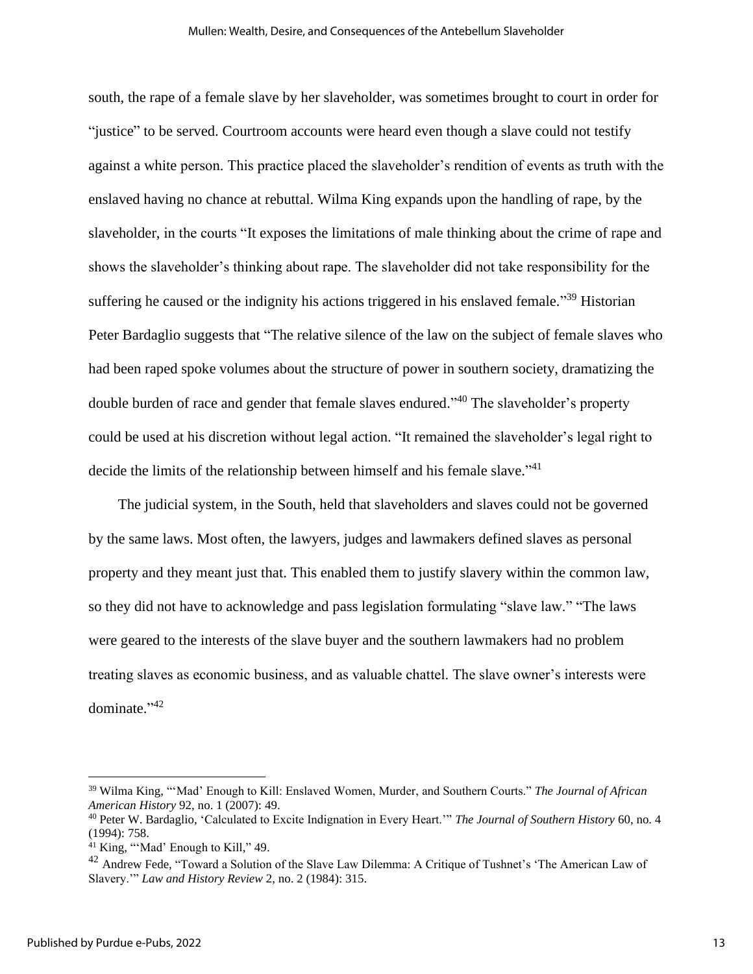south, the rape of a female slave by her slaveholder, was sometimes brought to court in order for "justice" to be served. Courtroom accounts were heard even though a slave could not testify against a white person. This practice placed the slaveholder's rendition of events as truth with the enslaved having no chance at rebuttal. Wilma King expands upon the handling of rape, by the slaveholder, in the courts "It exposes the limitations of male thinking about the crime of rape and shows the slaveholder's thinking about rape. The slaveholder did not take responsibility for the suffering he caused or the indignity his actions triggered in his enslaved female."<sup>39</sup> Historian Peter Bardaglio suggests that "The relative silence of the law on the subject of female slaves who had been raped spoke volumes about the structure of power in southern society, dramatizing the double burden of race and gender that female slaves endured." <sup>40</sup> The slaveholder's property could be used at his discretion without legal action. "It remained the slaveholder's legal right to decide the limits of the relationship between himself and his female slave."<sup>41</sup>

 The judicial system, in the South, held that slaveholders and slaves could not be governed by the same laws. Most often, the lawyers, judges and lawmakers defined slaves as personal property and they meant just that. This enabled them to justify slavery within the common law, so they did not have to acknowledge and pass legislation formulating "slave law." "The laws were geared to the interests of the slave buyer and the southern lawmakers had no problem treating slaves as economic business, and as valuable chattel. The slave owner's interests were dominate." 42

<sup>39</sup> Wilma King, "'Mad' Enough to Kill: Enslaved Women, Murder, and Southern Courts." *The Journal of African American History* 92, no. 1 (2007): 49.

<sup>40</sup> Peter W. Bardaglio, 'Calculated to Excite Indignation in Every Heart.'" *The Journal of Southern History* 60, no. 4 (1994): 758.

 $41$  King, "'Mad' Enough to Kill," 49.

<sup>&</sup>lt;sup>42</sup> Andrew Fede, "Toward a Solution of the Slave Law Dilemma: A Critique of Tushnet's 'The American Law of Slavery.'" *Law and History Review* 2, no. 2 (1984): 315.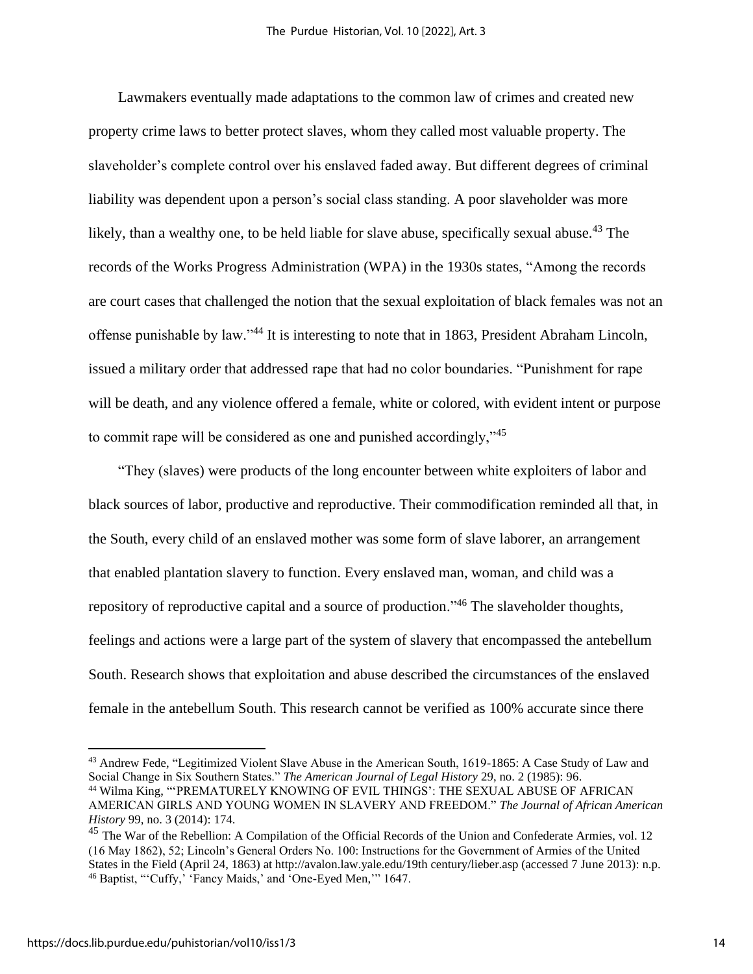Lawmakers eventually made adaptations to the common law of crimes and created new property crime laws to better protect slaves, whom they called most valuable property. The slaveholder's complete control over his enslaved faded away. But different degrees of criminal liability was dependent upon a person's social class standing. A poor slaveholder was more likely, than a wealthy one, to be held liable for slave abuse, specifically sexual abuse.<sup>43</sup> The records of the Works Progress Administration (WPA) in the 1930s states, "Among the records are court cases that challenged the notion that the sexual exploitation of black females was not an offense punishable by law."<sup>44</sup> It is interesting to note that in 1863, President Abraham Lincoln, issued a military order that addressed rape that had no color boundaries. "Punishment for rape will be death, and any violence offered a female, white or colored, with evident intent or purpose to commit rape will be considered as one and punished accordingly,"<sup>45</sup>

 "They (slaves) were products of the long encounter between white exploiters of labor and black sources of labor, productive and reproductive. Their commodification reminded all that, in the South, every child of an enslaved mother was some form of slave laborer, an arrangement that enabled plantation slavery to function. Every enslaved man, woman, and child was a repository of reproductive capital and a source of production."<sup>46</sup> The slaveholder thoughts, feelings and actions were a large part of the system of slavery that encompassed the antebellum South. Research shows that exploitation and abuse described the circumstances of the enslaved female in the antebellum South. This research cannot be verified as 100% accurate since there

<sup>43</sup> Andrew Fede, "Legitimized Violent Slave Abuse in the American South, 1619-1865: A Case Study of Law and Social Change in Six Southern States." *The American Journal of Legal History* 29, no. 2 (1985): 96.

<sup>44</sup> Wilma King, "'PREMATURELY KNOWING OF EVIL THINGS': THE SEXUAL ABUSE OF AFRICAN AMERICAN GIRLS AND YOUNG WOMEN IN SLAVERY AND FREEDOM." *The Journal of African American History* 99, no. 3 (2014): 174.

<sup>&</sup>lt;sup>45</sup> The War of the Rebellion: A Compilation of the Official Records of the Union and Confederate Armies, vol. 12 (16 May 1862), 52; Lincoln's General Orders No. 100: Instructions for the Government of Armies of the United States in the Field (April 24, 1863) at http://avalon.law.yale.edu/19th century/lieber.asp (accessed 7 June 2013): n.p. <sup>46</sup> Baptist, "'Cuffy,' 'Fancy Maids,' and 'One-Eyed Men,'" 1647.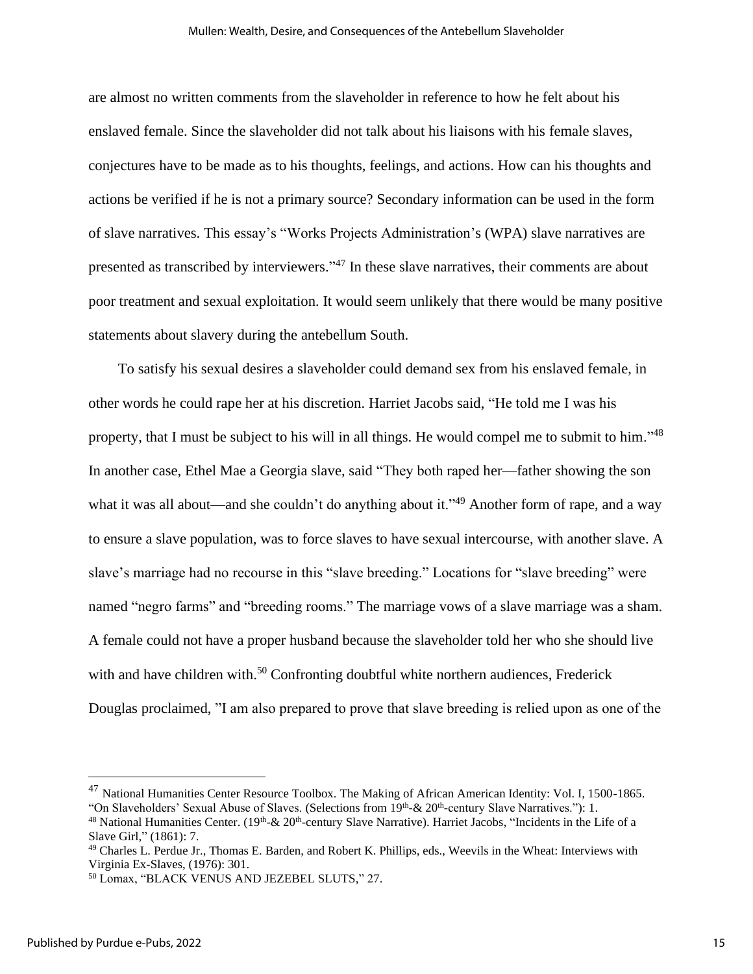are almost no written comments from the slaveholder in reference to how he felt about his enslaved female. Since the slaveholder did not talk about his liaisons with his female slaves, conjectures have to be made as to his thoughts, feelings, and actions. How can his thoughts and actions be verified if he is not a primary source? Secondary information can be used in the form of slave narratives. This essay's "Works Projects Administration's (WPA) slave narratives are presented as transcribed by interviewers."<sup>47</sup> In these slave narratives, their comments are about poor treatment and sexual exploitation. It would seem unlikely that there would be many positive statements about slavery during the antebellum South.

 To satisfy his sexual desires a slaveholder could demand sex from his enslaved female, in other words he could rape her at his discretion. Harriet Jacobs said, "He told me I was his property, that I must be subject to his will in all things. He would compel me to submit to him."<sup>48</sup> In another case, Ethel Mae a Georgia slave, said "They both raped her—father showing the son what it was all about—and she couldn't do anything about it."<sup>49</sup> Another form of rape, and a way to ensure a slave population, was to force slaves to have sexual intercourse, with another slave. A slave's marriage had no recourse in this "slave breeding." Locations for "slave breeding" were named "negro farms" and "breeding rooms." The marriage vows of a slave marriage was a sham. A female could not have a proper husband because the slaveholder told her who she should live with and have children with.<sup>50</sup> Confronting doubtful white northern audiences, Frederick Douglas proclaimed, "I am also prepared to prove that slave breeding is relied upon as one of the

<sup>&</sup>lt;sup>47</sup> National Humanities Center Resource Toolbox. The Making of African American Identity: Vol. I, 1500-1865. "On Slaveholders' Sexual Abuse of Slaves. (Selections from  $19<sup>th</sup>$ -&  $20<sup>th</sup>$ -century Slave Narratives."): 1.

<sup>&</sup>lt;sup>48</sup> National Humanities Center. (19<sup>th</sup>-& 20<sup>th</sup>-century Slave Narrative). Harriet Jacobs, "Incidents in the Life of a Slave Girl," (1861): 7.

<sup>&</sup>lt;sup>49</sup> Charles L. Perdue Jr., Thomas E. Barden, and Robert K. Phillips, eds., Weevils in the Wheat: Interviews with Virginia Ex-Slaves, (1976): 301.

<sup>50</sup> Lomax, "BLACK VENUS AND JEZEBEL SLUTS," 27.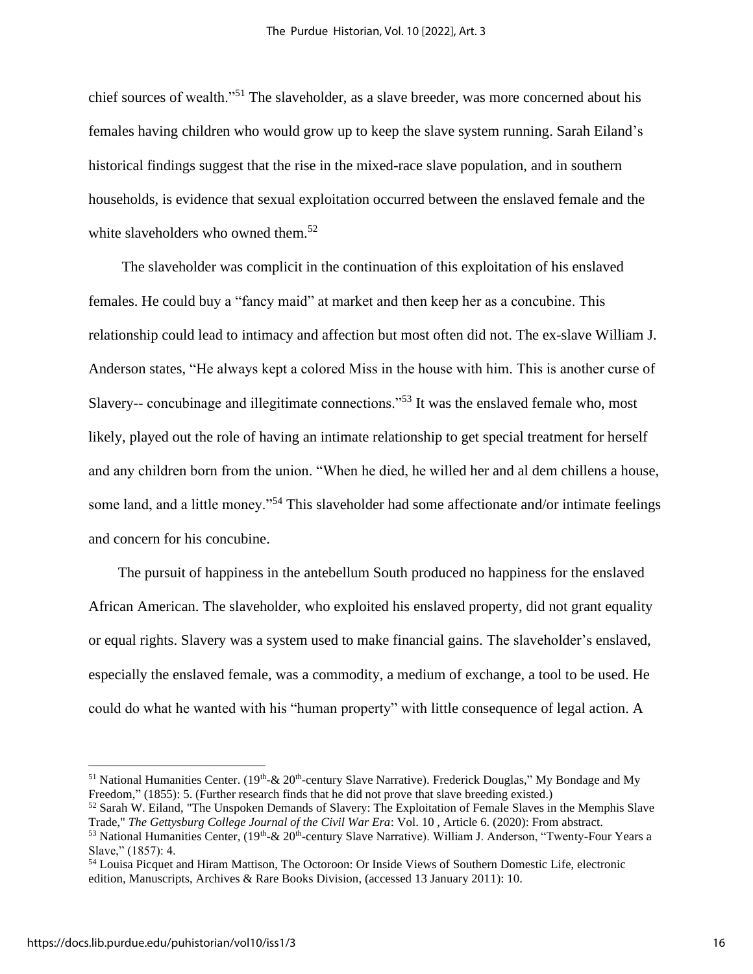chief sources of wealth."<sup>51</sup> The slaveholder, as a slave breeder, was more concerned about his females having children who would grow up to keep the slave system running. Sarah Eiland's historical findings suggest that the rise in the mixed-race slave population, and in southern households, is evidence that sexual exploitation occurred between the enslaved female and the white slaveholders who owned them.<sup>52</sup>

 The slaveholder was complicit in the continuation of this exploitation of his enslaved females. He could buy a "fancy maid" at market and then keep her as a concubine. This relationship could lead to intimacy and affection but most often did not. The ex-slave William J. Anderson states, "He always kept a colored Miss in the house with him. This is another curse of Slavery-- concubinage and illegitimate connections."<sup>53</sup> It was the enslaved female who, most likely, played out the role of having an intimate relationship to get special treatment for herself and any children born from the union. "When he died, he willed her and al dem chillens a house, some land, and a little money."<sup>54</sup> This slaveholder had some affectionate and/or intimate feelings and concern for his concubine.

 The pursuit of happiness in the antebellum South produced no happiness for the enslaved African American. The slaveholder, who exploited his enslaved property, did not grant equality or equal rights. Slavery was a system used to make financial gains. The slaveholder's enslaved, especially the enslaved female, was a commodity, a medium of exchange, a tool to be used. He could do what he wanted with his "human property" with little consequence of legal action. A

<sup>&</sup>lt;sup>51</sup> National Humanities Center. (19<sup>th</sup>-& 20<sup>th</sup>-century Slave Narrative). Frederick Douglas," My Bondage and My Freedom," (1855): 5. (Further research finds that he did not prove that slave breeding existed.)

<sup>52</sup> Sarah W. Eiland, "The Unspoken Demands of Slavery: The Exploitation of Female Slaves in the Memphis Slave Trade," *The Gettysburg College Journal of the Civil War Era*: Vol. 10 , Article 6. (2020): From abstract.

<sup>&</sup>lt;sup>53</sup> National Humanities Center,  $(19<sup>th</sup>-& 20<sup>th</sup>-century Slave Narrative)$ . William J. Anderson, "Twenty-Four Years a Slave," (1857): 4.

<sup>54</sup> Louisa Picquet and Hiram Mattison, The Octoroon: Or Inside Views of Southern Domestic Life, electronic edition, Manuscripts, Archives & Rare Books Division, (accessed 13 January 2011): 10.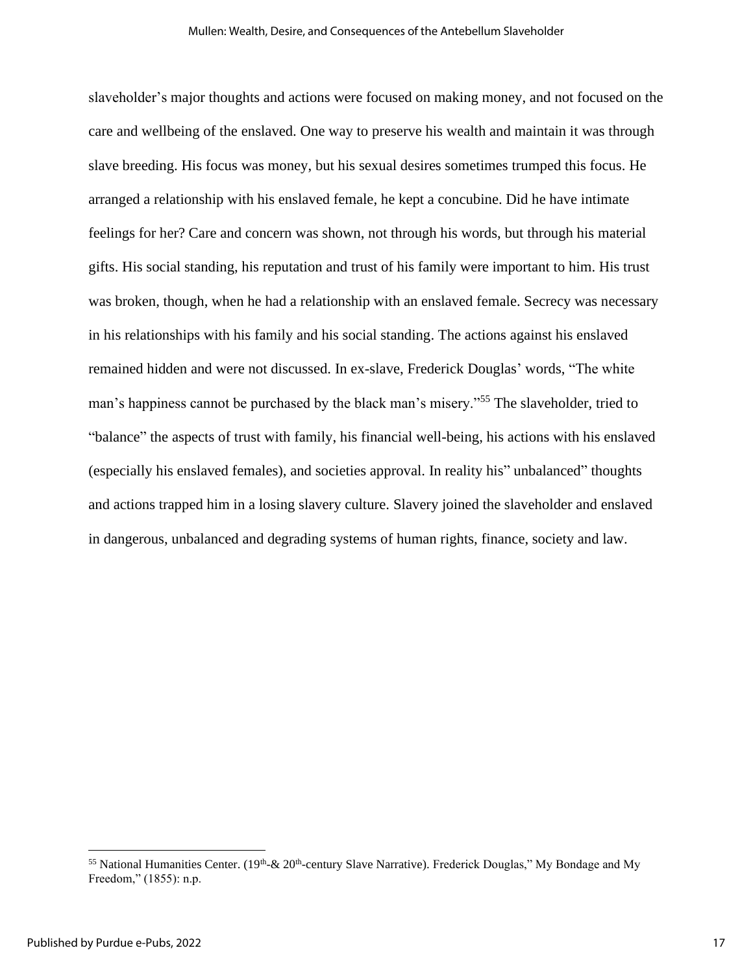slaveholder's major thoughts and actions were focused on making money, and not focused on the care and wellbeing of the enslaved. One way to preserve his wealth and maintain it was through slave breeding. His focus was money, but his sexual desires sometimes trumped this focus. He arranged a relationship with his enslaved female, he kept a concubine. Did he have intimate feelings for her? Care and concern was shown, not through his words, but through his material gifts. His social standing, his reputation and trust of his family were important to him. His trust was broken, though, when he had a relationship with an enslaved female. Secrecy was necessary in his relationships with his family and his social standing. The actions against his enslaved remained hidden and were not discussed. In ex-slave, Frederick Douglas' words, "The white man's happiness cannot be purchased by the black man's misery."<sup>55</sup> The slaveholder, tried to "balance" the aspects of trust with family, his financial well-being, his actions with his enslaved (especially his enslaved females), and societies approval. In reality his" unbalanced" thoughts and actions trapped him in a losing slavery culture. Slavery joined the slaveholder and enslaved in dangerous, unbalanced and degrading systems of human rights, finance, society and law.

<sup>&</sup>lt;sup>55</sup> National Humanities Center. (19<sup>th</sup>-& 20<sup>th</sup>-century Slave Narrative). Frederick Douglas," My Bondage and My Freedom," (1855): n.p.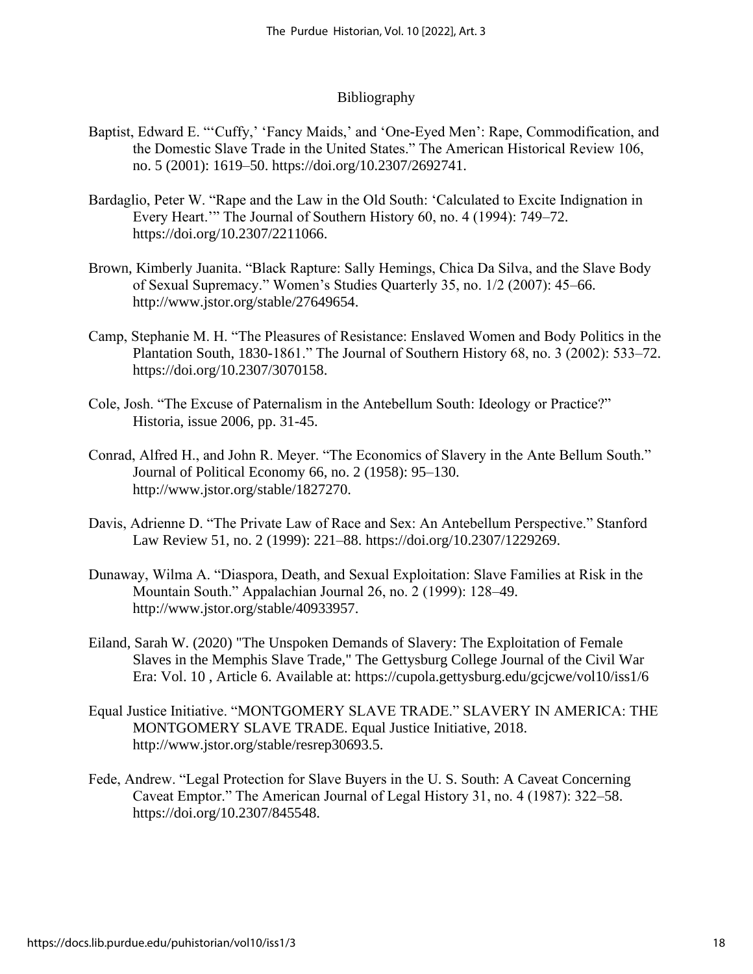### Bibliography

- Baptist, Edward E. "'Cuffy,' 'Fancy Maids,' and 'One-Eyed Men': Rape, Commodification, and the Domestic Slave Trade in the United States." The American Historical Review 106, no. 5 (2001): 1619–50. https://doi.org/10.2307/2692741.
- Bardaglio, Peter W. "Rape and the Law in the Old South: 'Calculated to Excite Indignation in Every Heart.'" The Journal of Southern History 60, no. 4 (1994): 749–72. https://doi.org/10.2307/2211066.
- Brown, Kimberly Juanita. "Black Rapture: Sally Hemings, Chica Da Silva, and the Slave Body of Sexual Supremacy." Women's Studies Quarterly 35, no. 1/2 (2007): 45–66. http://www.jstor.org/stable/27649654.
- Camp, Stephanie M. H. "The Pleasures of Resistance: Enslaved Women and Body Politics in the Plantation South, 1830-1861." The Journal of Southern History 68, no. 3 (2002): 533–72. https://doi.org/10.2307/3070158.
- Cole, Josh. "The Excuse of Paternalism in the Antebellum South: Ideology or Practice?" Historia, issue 2006, pp. 31-45.
- Conrad, Alfred H., and John R. Meyer. "The Economics of Slavery in the Ante Bellum South." Journal of Political Economy 66, no. 2 (1958): 95–130. http://www.jstor.org/stable/1827270.
- Davis, Adrienne D. "The Private Law of Race and Sex: An Antebellum Perspective." Stanford Law Review 51, no. 2 (1999): 221–88. https://doi.org/10.2307/1229269.
- Dunaway, Wilma A. "Diaspora, Death, and Sexual Exploitation: Slave Families at Risk in the Mountain South." Appalachian Journal 26, no. 2 (1999): 128–49. http://www.jstor.org/stable/40933957.
- Eiland, Sarah W. (2020) "The Unspoken Demands of Slavery: The Exploitation of Female Slaves in the Memphis Slave Trade," The Gettysburg College Journal of the Civil War Era: Vol. 10 , Article 6. Available at: https://cupola.gettysburg.edu/gcjcwe/vol10/iss1/6
- Equal Justice Initiative. "MONTGOMERY SLAVE TRADE." SLAVERY IN AMERICA: THE MONTGOMERY SLAVE TRADE. Equal Justice Initiative, 2018. http://www.jstor.org/stable/resrep30693.5.
- Fede, Andrew. "Legal Protection for Slave Buyers in the U. S. South: A Caveat Concerning Caveat Emptor." The American Journal of Legal History 31, no. 4 (1987): 322–58. https://doi.org/10.2307/845548.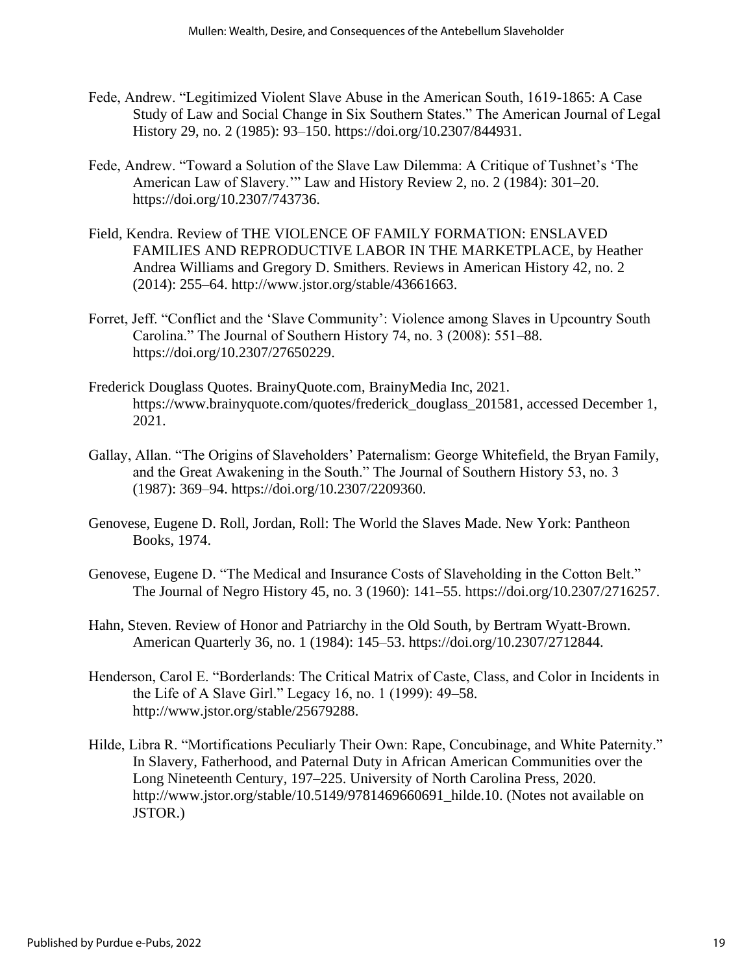- Fede, Andrew. "Legitimized Violent Slave Abuse in the American South, 1619-1865: A Case Study of Law and Social Change in Six Southern States." The American Journal of Legal History 29, no. 2 (1985): 93–150. https://doi.org/10.2307/844931.
- Fede, Andrew. "Toward a Solution of the Slave Law Dilemma: A Critique of Tushnet's 'The American Law of Slavery.'" Law and History Review 2, no. 2 (1984): 301–20. https://doi.org/10.2307/743736.
- Field, Kendra. Review of THE VIOLENCE OF FAMILY FORMATION: ENSLAVED FAMILIES AND REPRODUCTIVE LABOR IN THE MARKETPLACE, by Heather Andrea Williams and Gregory D. Smithers. Reviews in American History 42, no. 2 (2014): 255–64. http://www.jstor.org/stable/43661663.
- Forret, Jeff. "Conflict and the 'Slave Community': Violence among Slaves in Upcountry South Carolina." The Journal of Southern History 74, no. 3 (2008): 551–88. https://doi.org/10.2307/27650229.
- Frederick Douglass Quotes. BrainyQuote.com, BrainyMedia Inc, 2021. https://www.brainyquote.com/quotes/frederick\_douglass\_201581, accessed December 1, 2021.
- Gallay, Allan. "The Origins of Slaveholders' Paternalism: George Whitefield, the Bryan Family, and the Great Awakening in the South." The Journal of Southern History 53, no. 3 (1987): 369–94. https://doi.org/10.2307/2209360.
- Genovese, Eugene D. Roll, Jordan, Roll: The World the Slaves Made. New York: Pantheon Books, 1974.
- Genovese, Eugene D. "The Medical and Insurance Costs of Slaveholding in the Cotton Belt." The Journal of Negro History 45, no. 3 (1960): 141–55. https://doi.org/10.2307/2716257.
- Hahn, Steven. Review of Honor and Patriarchy in the Old South, by Bertram Wyatt-Brown. American Quarterly 36, no. 1 (1984): 145–53. https://doi.org/10.2307/2712844.
- Henderson, Carol E. "Borderlands: The Critical Matrix of Caste, Class, and Color in Incidents in the Life of A Slave Girl." Legacy 16, no. 1 (1999): 49–58. http://www.jstor.org/stable/25679288.
- Hilde, Libra R. "Mortifications Peculiarly Their Own: Rape, Concubinage, and White Paternity." In Slavery, Fatherhood, and Paternal Duty in African American Communities over the Long Nineteenth Century, 197–225. University of North Carolina Press, 2020. http://www.jstor.org/stable/10.5149/9781469660691\_hilde.10. (Notes not available on JSTOR.)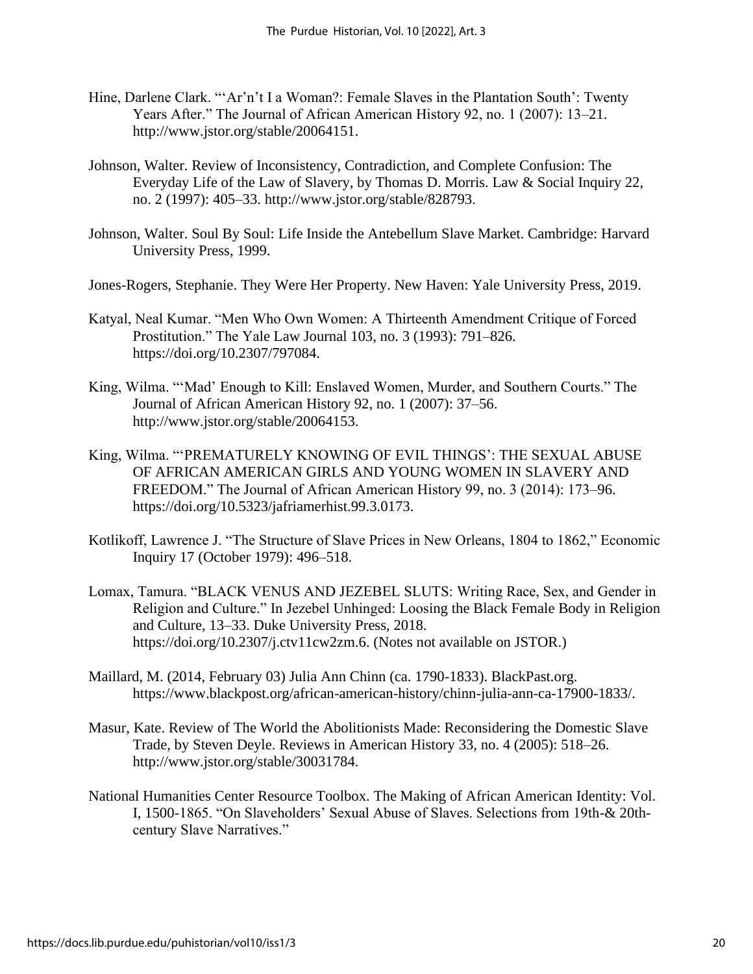- Hine, Darlene Clark. "'Ar'n't I a Woman?: Female Slaves in the Plantation South': Twenty Years After." The Journal of African American History 92, no. 1 (2007): 13–21. http://www.jstor.org/stable/20064151.
- Johnson, Walter. Review of Inconsistency, Contradiction, and Complete Confusion: The Everyday Life of the Law of Slavery, by Thomas D. Morris. Law & Social Inquiry 22, no. 2 (1997): 405–33. http://www.jstor.org/stable/828793.
- Johnson, Walter. Soul By Soul: Life Inside the Antebellum Slave Market. Cambridge: Harvard University Press, 1999.
- Jones-Rogers, Stephanie. They Were Her Property. New Haven: Yale University Press, 2019.
- Katyal, Neal Kumar. "Men Who Own Women: A Thirteenth Amendment Critique of Forced Prostitution." The Yale Law Journal 103, no. 3 (1993): 791–826. https://doi.org/10.2307/797084.
- King, Wilma. "'Mad' Enough to Kill: Enslaved Women, Murder, and Southern Courts." The Journal of African American History 92, no. 1 (2007): 37–56. http://www.jstor.org/stable/20064153.
- King, Wilma. "'PREMATURELY KNOWING OF EVIL THINGS': THE SEXUAL ABUSE OF AFRICAN AMERICAN GIRLS AND YOUNG WOMEN IN SLAVERY AND FREEDOM." The Journal of African American History 99, no. 3 (2014): 173–96. https://doi.org/10.5323/jafriamerhist.99.3.0173.
- Kotlikoff, Lawrence J. "The Structure of Slave Prices in New Orleans, 1804 to 1862," Economic Inquiry 17 (October 1979): 496–518.
- Lomax, Tamura. "BLACK VENUS AND JEZEBEL SLUTS: Writing Race, Sex, and Gender in Religion and Culture." In Jezebel Unhinged: Loosing the Black Female Body in Religion and Culture, 13–33. Duke University Press, 2018. https://doi.org/10.2307/j.ctv11cw2zm.6. (Notes not available on JSTOR.)
- Maillard, M. (2014, February 03) Julia Ann Chinn (ca. 1790-1833). BlackPast.org. https://www.blackpost.org/african-american-history/chinn-julia-ann-ca-17900-1833/.
- Masur, Kate. Review of The World the Abolitionists Made: Reconsidering the Domestic Slave Trade, by Steven Deyle. Reviews in American History 33, no. 4 (2005): 518–26. http://www.jstor.org/stable/30031784.
- National Humanities Center Resource Toolbox. The Making of African American Identity: Vol. I, 1500-1865. "On Slaveholders' Sexual Abuse of Slaves. Selections from 19th-& 20thcentury Slave Narratives."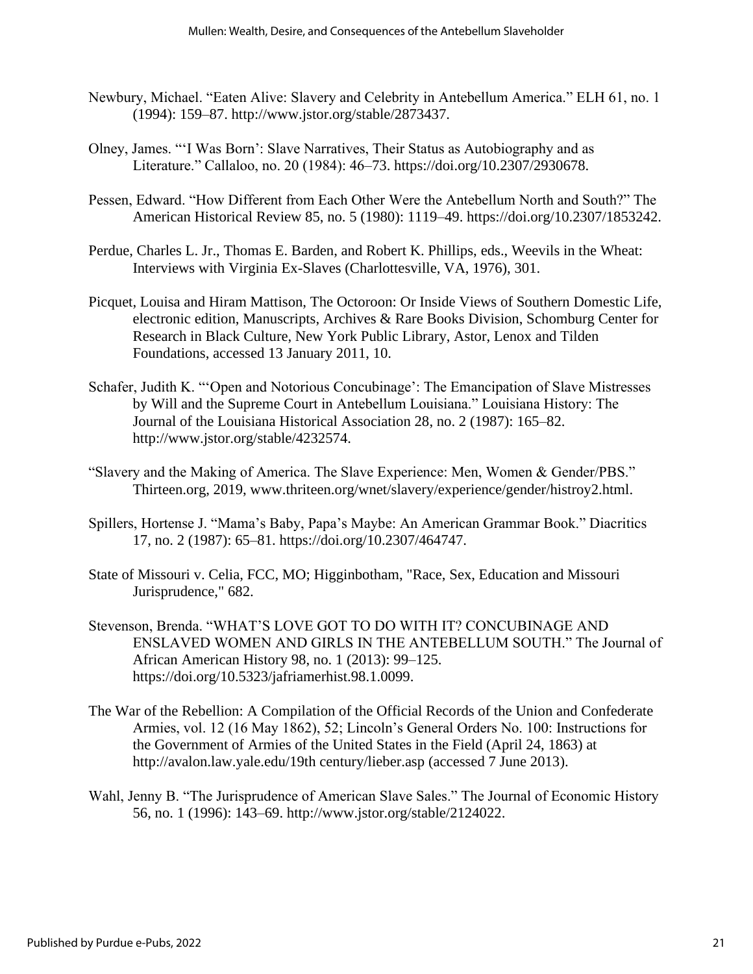- Newbury, Michael. "Eaten Alive: Slavery and Celebrity in Antebellum America." ELH 61, no. 1 (1994): 159–87. http://www.jstor.org/stable/2873437.
- Olney, James. "'I Was Born': Slave Narratives, Their Status as Autobiography and as Literature." Callaloo, no. 20 (1984): 46–73. https://doi.org/10.2307/2930678.
- Pessen, Edward. "How Different from Each Other Were the Antebellum North and South?" The American Historical Review 85, no. 5 (1980): 1119–49. https://doi.org/10.2307/1853242.
- Perdue, Charles L. Jr., Thomas E. Barden, and Robert K. Phillips, eds., Weevils in the Wheat: Interviews with Virginia Ex-Slaves (Charlottesville, VA, 1976), 301.
- Picquet, Louisa and Hiram Mattison, The Octoroon: Or Inside Views of Southern Domestic Life, electronic edition, Manuscripts, Archives & Rare Books Division, Schomburg Center for Research in Black Culture, New York Public Library, Astor, Lenox and Tilden Foundations, accessed 13 January 2011, 10.
- Schafer, Judith K. "'Open and Notorious Concubinage': The Emancipation of Slave Mistresses by Will and the Supreme Court in Antebellum Louisiana." Louisiana History: The Journal of the Louisiana Historical Association 28, no. 2 (1987): 165–82. http://www.jstor.org/stable/4232574.
- "Slavery and the Making of America. The Slave Experience: Men, Women & Gender/PBS." Thirteen.org, 2019, www.thriteen.org/wnet/slavery/experience/gender/histroy2.html.
- Spillers, Hortense J. "Mama's Baby, Papa's Maybe: An American Grammar Book." Diacritics 17, no. 2 (1987): 65–81. https://doi.org/10.2307/464747.
- State of Missouri v. Celia, FCC, MO; Higginbotham, "Race, Sex, Education and Missouri Jurisprudence," 682.
- Stevenson, Brenda. "WHAT'S LOVE GOT TO DO WITH IT? CONCUBINAGE AND ENSLAVED WOMEN AND GIRLS IN THE ANTEBELLUM SOUTH." The Journal of African American History 98, no. 1 (2013): 99–125. https://doi.org/10.5323/jafriamerhist.98.1.0099.
- The War of the Rebellion: A Compilation of the Official Records of the Union and Confederate Armies, vol. 12 (16 May 1862), 52; Lincoln's General Orders No. 100: Instructions for the Government of Armies of the United States in the Field (April 24, 1863) at http://avalon.law.yale.edu/19th century/lieber.asp (accessed 7 June 2013).
- Wahl, Jenny B. "The Jurisprudence of American Slave Sales." The Journal of Economic History 56, no. 1 (1996): 143–69. http://www.jstor.org/stable/2124022.